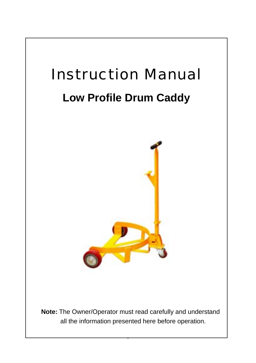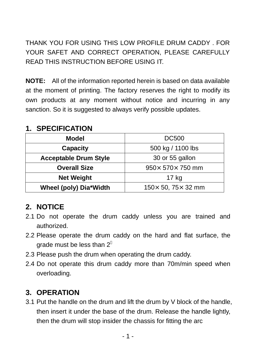THANK YOU FOR USING THIS LOW PROFILE DRUM CADDY . FOR YOUR SAFET AND CORRECT OPERATION, PLEASE CAREFULLY READ THIS INSTRUCTION BEFORE USING IT.

**NOTE:** All of the information reported herein is based on data available at the moment of printing. The factory reserves the right to modify its own products at any moment without notice and incurring in any sanction. So it is suggested to always verify possible updates.

## **1. SPECIFICATION**

| <b>Model</b>                                          | <b>DC500</b>                     |  |
|-------------------------------------------------------|----------------------------------|--|
| <b>Capacity</b>                                       | 500 kg / 1100 lbs                |  |
| <b>Acceptable Drum Style</b>                          | 30 or 55 gallon                  |  |
| $950 \times 570 \times 750$ mm<br><b>Overall Size</b> |                                  |  |
| <b>Net Weight</b>                                     | 17 kg                            |  |
| Wheel (poly) Dia*Width                                | $150 \times 50, 75 \times 32$ mm |  |

## **2. NOTICE**

- 2.1 Do not operate the drum caddy unless you are trained and authorized.
- 2.2 Please operate the drum caddy on the hard and flat surface, the grade must be less than 2
- 2.3 Please push the drum when operating the drum caddy.
- 2.4 Do not operate this drum caddy more than 70m/min speed when overloading.

## **3. OPERATION**

3.1 Put the handle on the drum and lift the drum by V block of the handle, then insert it under the base of the drum. Release the handle lightly, then the drum will stop insider the chassis for fitting the arc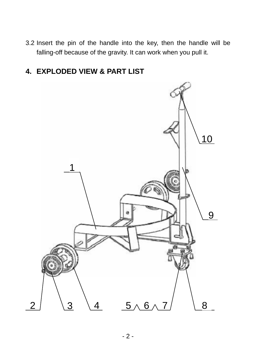3.2 Insert the pin of the handle into the key, then the handle will be falling-off because of the gravity. It can work when you pull it.

## **4. EXPLODED VIEW & PART LIST**